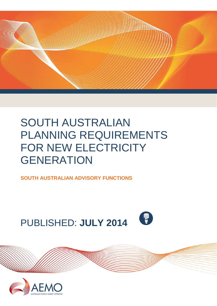

# SOUTH AUSTRALIAN PLANNING REQUIREMENTS FOR NEW ELECTRICITY **GENERATION**

**SOUTH AUSTRALIAN ADVISORY FUNCTIONS**





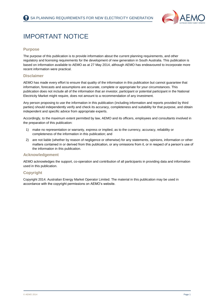

## <span id="page-1-0"></span>IMPORTANT NOTICE

#### **Purpose**

The purpose of this publication is to provide information about the current planning requirements, and other regulatory and licensing requirements for the development of new generation in South Australia. This publication is based on information available to AEMO as at 27 May 2014, although AEMO has endeavoured to incorporate more recent information were practical.

#### **Disclaimer**

AEMO has made every effort to ensure that quality of the information in this publication but cannot guarantee that information, forecasts and assumptions are accurate, complete or appropriate for your circumstances. This publication does not include all of the information that an investor, participant or potential participant in the National Electricity Market might require, does not amount to a recommendation of any investment.

Any person proposing to use the information in this publication (including information and reports provided by third parties) should independently verify and check its accuracy, completeness and suitability for that purpose, and obtain independent and specific advice from appropriate experts.

Accordingly, to the maximum extent permitted by law, AEMO and its officers, employees and consultants involved in the preparation of this publication:

- 1) make no representation or warranty, express or implied, as to the currency, accuracy, reliability or completeness of the information in this publication; and
- 2) are not liable (whether by reason of negligence or otherwise) for any statements, opinions, information or other matters contained in or derived from this publication, or any omissions from it, or in respect of a person's use of the information in this publication.

#### **Acknowledgement**

AEMO acknowledges the support, co-operation and contribution of all participants in providing data and information used in this publication.

#### **Copyright**

Copyright 2014. Australian Energy Market Operator Limited. The material in this publication may be used in accordance with the copyright permissions on AEMO's website.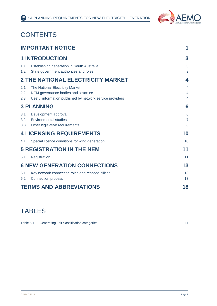

## **CONTENTS**

| <b>IMPORTANT NOTICE</b> |                                                                                                                                     | 1                                      |
|-------------------------|-------------------------------------------------------------------------------------------------------------------------------------|----------------------------------------|
|                         | <b>1 INTRODUCTION</b>                                                                                                               | 3                                      |
| 1.1<br>1.2              | Establishing generation in South Australia<br>State government authorities and roles                                                | 3<br>3                                 |
|                         | <b>2 THE NATIONAL ELECTRICITY MARKET</b>                                                                                            | 4                                      |
| 2.1<br>2.2<br>2.3       | The National Electricity Market<br>NEM governance bodies and structure<br>Useful information published by network service providers | 4<br>4<br>$\overline{4}$               |
|                         | <b>3 PLANNING</b>                                                                                                                   | 6                                      |
| 3.1<br>3.2<br>3.3       | Development approval<br><b>Environmental studies</b><br>Other legislative requirements                                              | $6\phantom{1}6$<br>$\overline{7}$<br>8 |
|                         | <b>4 LICENSING REQUIREMENTS</b>                                                                                                     | 10                                     |
| 4.1                     | Special licence conditions for wind generation                                                                                      | 10                                     |
|                         | <b>5 REGISTRATION IN THE NEM</b>                                                                                                    | 11                                     |
| 5.1                     | Registration                                                                                                                        | 11                                     |
|                         | <b>6 NEW GENERATION CONNECTIONS</b>                                                                                                 | 13                                     |
| 6.1<br>6.2              | Key network connection roles and responsibilities<br><b>Connection process</b>                                                      | 13<br>13                               |
|                         | <b>TERMS AND ABBREVIATIONS</b>                                                                                                      | 18                                     |

## TABLES

Table 5-1 — [Generating unit classification categories](#page-11-2) 11 and 200 minutes 11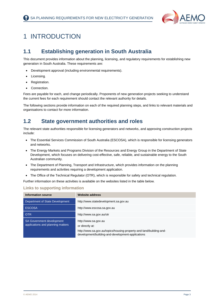

## <span id="page-3-0"></span>1 INTRODUCTION

### <span id="page-3-1"></span>**1.1 Establishing generation in South Australia**

This document provides information about the planning, licensing, and regulatory requirements for establishing new generation in South Australia. These requirements are:

- Development approval (including environmental requirements).
- Licensing.
- Registration.
- Connection.

Fees are payable for each, and change periodically. Proponents of new generation projects seeking to understand the current fees for each requirement should contact the relevant authority for details.

The following sections provide information on each of the required planning steps, and links to relevant materials and organisations to contact for more information.

### <span id="page-3-2"></span>**1.2 State government authorities and roles**

The relevant state authorities responsible for licensing generators and networks, and approving construction projects include:

- The Essential Services Commission of South Australia (ESCOSA), which is responsible for licensing generators and networks.
- The Energy Markets and Programs Division of the Resources and Energy Group in the Department of State Development, which focuses on delivering cost-effective, safe, reliable, and sustainable energy to the South Australian community.
- The Department of Planning, Transport and Infrastructure, which provides information on the planning requirements and activities requiring a development application.
- The Office of the Technical Regulator (OTR), which is responsible for safety and technical regulation.

Further information on these activities is available on the websites listed in the table below.

| <b>Information source</b>                                             | <b>Website address</b>                                                                                                                                              |
|-----------------------------------------------------------------------|---------------------------------------------------------------------------------------------------------------------------------------------------------------------|
| Department of State Development                                       | http://www.statedevelopment.sa.gov.au                                                                                                                               |
| <b>ESCOSA</b>                                                         | http://www.escosa.sa.gov.au                                                                                                                                         |
| <b>OTR</b>                                                            | http://www.sa.gov.au/otr                                                                                                                                            |
| <b>SA Government development</b><br>applications and planning matters | http://www.sa.gov.au<br>or directly at:<br>http://www.sa.gov.au/topics/housing-property-and-land/building-and-<br>development/building-and-development-applications |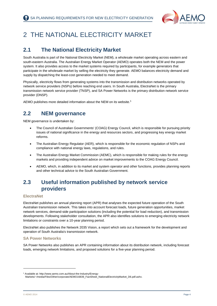

## <span id="page-4-0"></span>2 THE NATIONAL ELECTRICITY MARKET

### <span id="page-4-1"></span>**2.1 The National Electricity Market**

South Australia is part of the National Electricity Market (NEM), a wholesale market operating across eastern and south-eastern Australia. The Australian Energy Market Operator (AEMO) operates both the NEM and the power system. It also provides access to the market systems required by participants, for example generators that participate in the wholesale market by selling the electricity they generate. AEMO balances electricity demand and supply by dispatching the least-cost generation needed to meet demand.

Physically, electricity flows from generating systems into the transmission and distribution networks operated by network service providers (NSPs) before reaching end users. In South Australia, ElectraNet is the primary transmission network service provider (TNSP), and SA Power Networks is the primary distribution network service provider (DNSP).

AEMO publishes more detailed information about the NEM on its website. 1

## <span id="page-4-2"></span>**2.2 NEM governance**

NEM governance is undertaken by:

- The Council of Australian Governments' (COAG) Energy Council, which is responsible for pursuing priority issues of national significance in the energy and resources sectors, and progressing key energy market reforms.
- The Australian Energy Regulator (AER), which is responsible for the economic regulation of NSPs and compliance with national energy laws, regulations, and rules.
- The Australian Energy Market Commission (AEMC), which is responsible for making rules for the energy markets and providing independent advice on market improvements to the COAG Energy Council.
- AEMO, which, in addition to its market and system operator and other functions, provides planning reports and other technical advice to the South Australian Government.

### <span id="page-4-3"></span>**2.3 Useful information published by network service providers**

#### **ElectraNet**

ElectraNet publishes an annual planning report (APR) that analyses the expected future operation of the South Australian transmission network. This takes into account forecast loads, future generation opportunities, market network services, demand-side participation solutions (including the potential for load reduction), and transmission developments. Following stakeholder consultation, the APR also identifies solutions to emerging electricity network limitations or constraints over a 10-year planning period.

ElectraNet also publishes the [Network 2035 Vision,](http://www.electranet.com.au/assets/Uploads/Network-2035-Vision-100412.pdf) a report which sets out a framework for the development and operation of South Australia's transmission network.

#### **SA Power Networks**

SA Power Networks also publishes an APR containing information about its distribution network, including forecast loads, emerging network limitations, and proposed solutions for a five-year planning period.

-

<sup>1</sup> Available at: http://www.aemo.com.au/About-the-Industry/Energy-

Markets/~/media/Files/Other/corporate/AEMO16839\_FactSheet\_NationalElectricityMarket\_D6.pdf.ashx.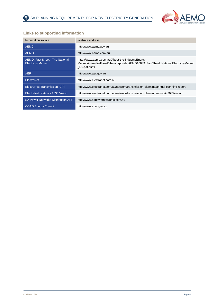

| Information source                                           | Website address                                                                                                                                          |
|--------------------------------------------------------------|----------------------------------------------------------------------------------------------------------------------------------------------------------|
| <b>AEMC</b>                                                  | http://www.aemc.gov.au                                                                                                                                   |
| <b>AEMO</b>                                                  | http://www.aemo.com.au                                                                                                                                   |
| AEMO: Fact Sheet - The National<br><b>Electricity Market</b> | http://www.aemo.com.au/About-the-Industry/Energy-<br>Markets/~/media/Files/Other/corporate/AEMO16839_FactSheet_NationalElectricityMarket<br>D6.pdf.ashx. |
| <b>AER</b>                                                   | http://www.aer.gov.au                                                                                                                                    |
| ElectraNet                                                   | http://www.electranet.com.au                                                                                                                             |
| ElectraNet: Transmission APR                                 | http://www.electranet.com.au/network/transmission-planning/annual-planning-report                                                                        |
| ElectraNet: Network 2035 Vision                              | http://www.electranet.com.au/network/transmission-planning/network-2035-vision                                                                           |
| <b>SA Power Networks Distribution APR</b>                    | http://www.sapowernetworks.com.au                                                                                                                        |
| <b>COAG Energy Council</b>                                   | http://www.scer.gov.au                                                                                                                                   |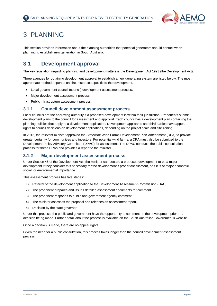

## <span id="page-6-0"></span>3 PLANNING

This section provides information about the planning authorities that potential generators should contact when planning to establish new generation in South Australia.

## <span id="page-6-1"></span>**3.1 Development approval**

The key legislation regarding planning and development matters is the Development Act 1993 (the Development Act).

Three avenues for obtaining development approval to establish a new generating system are listed below. The most appropriate method depends on circumstances specific to the development.

- Local government council (council) development assessment process.
- Major development assessment process.
- Public infrastructure assessment process.

#### **3.1.1 Council development assessment process**

Local councils are the approving authority if a proposed development is within their jurisdiction. Proponents submit development plans to the council for assessment and approval. Each council has a development plan containing the planning policies that apply to a development application. Development applicants and third parties have appeal rights to council decisions on development applications, depending on the project scale and site zoning.

In 2012, the relevant minister approved the Statewide Wind Farms Development Plan Amendment (DPA) to provide greater certainty for communities and investors. For potential wind farms, a DPA must also be submitted to the Development Policy Advisory Committee (DPAC) for assessment. The DPAC conducts the public consultation process for these DPAs and provides a report to the minister.

#### **3.1.2 Major development assessment process**

Under Section 46 of the Development Act, the minister can declare a proposed development to be a major development if they consider this necessary for the development's proper assessment, or if it is of major economic, social, or environmental importance.

This assessment process has five stages:

- 1) Referral of the development application to the Development Assessment Commission (DAC).
- 2) The proponent prepares and issues detailed assessment documents for comment.
- 3) The proponent responds to public and government agency comment.
- 4) The minister assesses the proposal and releases an assessment report.
- 5) Decision by the state governor.

Under this process, the public and government have the opportunity to comment on the development prior to a decision being made. Further detail about the process is available on the South Australian Government's website.

Once a decision is made, there are no appeal rights.

Given the need for a public consultation, this process takes longer than the council development assessment process.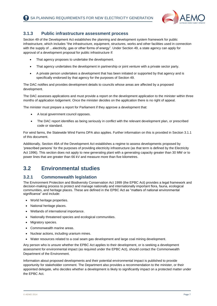

#### **3.1.3 Public infrastructure assessment process**

Section 49 of the Development Act establishes the planning and development system framework for public infrastructure, which includes "the infrastructure, equipment, structures, works and other facilities used in connection with the supply of …electricity, gas or other forms of energy". Under Section 49, a state agency can apply for approval of a development proposal for public infrastructure if:

- That agency proposes to undertake the development.
- That agency undertakes the development in partnership or joint venture with a private sector party.
- A private person undertakes a development that has been initiated or supported by that agency and is specifically endorsed by that agency for the purposes of Section 49.

The DAC notifies and provides development details to councils whose areas are affected by a proposed development.

The DAC assesses applications and must provide a report on the development application to the minister within three months of application lodgement. Once the minister decides on the application there is no right of appeal.

The minister must prepare a report for Parliament if they approve a development that:

- A local government council opposes.
- The DAC report identifies as being seriously in conflict with the relevant development plan, or prescribed code or standard.

For wind farms, the Statewide Wind Farms DPA also applies. Further information on this is provided in Section 3.1.1 of this document.

Additionally, Section 49A of the Development Act establishes a regime to assess developments proposed by 'prescribed persons' for the purposes of providing electricity infrastructure (as that term is defined by the Electricity Act 1996). This section does not apply to new generating plant with a generating capacity greater than 30 MW or to power lines that are greater than 66 kV and measure more than five kilometres.

### <span id="page-7-0"></span>**3.2 Environmental studies**

#### **3.2.1 Commonwealth legislation**

The Environment Protection and Biodiversity Conservation Act 1999 (the EPBC Act) provides a legal framework and decision-making process to protect and manage nationally and internationally important flora, fauna, ecological communities, and heritage places. These are defined in the EPBC Act as "matters of national environmental significance" and include:

- World heritage properties.
- National heritage places.
- Wetlands of international importance.
- Nationally threatened species and ecological communities.
- Migratory species.
- Commonwealth marine areas.
- Nuclear actions, including uranium mines.
- Water resources related to a coal seam gas development and large coal mining development.

Any person who is unsure whether the EPBC Act applies to their development, or is seeking a development assessment for environmental impact (as required under the EPBC Act), should contact the Commonwealth Department of the Environment.

Information about proposed developments and their potential environmental impact is published to provide opportunity for stakeholder comment. The Department also provides a recommendation to the minister, or their appointed delegate, who decides whether a development is likely to significantly impact on a protected matter under the EPBC Act.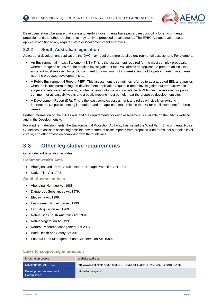

Developers should be aware that state and territory governments have primary responsibility for environmental protection and that other requirements may apply to proposed developments. The EPBC Act approval process applies in addition to any required state or local government approvals.

#### **3.2.2 South Australian legislation**

As part of a development application, the DAC may require a more detailed environmental assessment. For example:

- An Environmental Impact Statement (EIS). This is the assessment required for the most complex proposals, where a range of issues require detailed investigation. If the DAC directs an applicant to prepare an EIS, the applicant must release it for public comment for a minimum of six weeks, and hold a public meeting in an area near the proposed development site.
- A Public Environmental Report (PER). This assessment is sometimes referred to as a targeted EIS, and applies when the issues surrounding the development application require in-depth investigation but are narrower in scope and relatively well-known, or when existing information is available. A PER must be released for public comment for at least six weeks and a public meeting must be held near the proposed development site.
- A Development Report (DR). This is the least complex assessment, and relies principally on existing information. No public meeting is required and the applicant must release the DR for public comment for three weeks.

Further information on the DAC's role and the requirements for each assessment is available on the DAC's website and in the Development Act.

For wind farm developments, the Environmental Protection Authority has issued the Wind Farm Environmental Noise Guidelines to assist in assessing possible environmental noise impacts from proposed wind farms, set out noise level criteria, and offer advice on complying with the guidelines.

### <span id="page-8-0"></span>**3.3 Other legislative requirements**

Other relevant legislation includes:

#### **Commonwealth Acts**

- Aboriginal and Torres Strait Islander Heritage Protection Act 1984.
- Native Title Act 1993.

#### **South Australian Acts**

- Aboriginal Heritage Act 1988.
- Dangerous Substances Act 1979.
- [Electricity Act 1996](javascript:void(0)/*317*/)**.**
- Environment Protection Act 1993.
- Land Acquisition Act 1969.
- Native Title [\(South Australia\) Act 1994](http://www.legislation.sa.gov.au/LZ/C/A/NATIVE%20TITLE%20(SOUTH%20AUSTRALIA)%20ACT%201994.aspx)**.**
- Native Vegetation Act 1991.
- Natural Resource Management Act 2004.
- Work Health and Safety Act 2012.
- [Pastoral](http://www.legislation.sa.gov.au/LZ/C/A/PASTORAL%20LAND%20MANAGEMENT%20AND%20CONSERVATION%20ACT%201989.aspx) [L](http://www.legislation.sa.gov.au/LZ/C/A/PASTORAL%20LAND%20MANAGEMENT%20AND%20CONSERVATION%20ACT%201989.aspx)and [Management and Conservation](http://www.legislation.sa.gov.au/LZ/C/A/PASTORAL%20LAND%20MANAGEMENT%20AND%20CONSERVATION%20ACT%201989.aspx) Act 1989**.**

| Information source                   | Website address                                                       |
|--------------------------------------|-----------------------------------------------------------------------|
| Development Act 1993                 | http://www.legislation.sa.gov.au/LZ/C/A/DEVELOPMENT%20ACT%201993.aspx |
| Development Assessment<br>Commission | http://dac.sa.gov.au                                                  |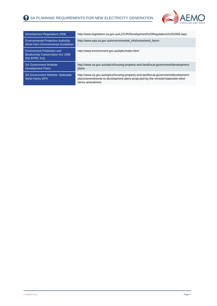

| Development Regulations 2008                                                                     | http://www.legislation.sa.gov.au/LZ/C/R/Development%20Regulations%202008.aspx                                                                                                            |
|--------------------------------------------------------------------------------------------------|------------------------------------------------------------------------------------------------------------------------------------------------------------------------------------------|
| <b>Environmental Protection Authority</b><br>Wind Farm Environmental Guidelines                  | http://www.epa.sa.gov.au/environmental_info/noise/wind_farms                                                                                                                             |
| <b>Environment Protection and</b><br><b>Biodiversity Conservation Act 1999</b><br>(the EPBC Act) | http://www.environment.gov.au/epbc/index.html                                                                                                                                            |
| <b>SA Government Website:</b><br><b>Development Plans</b>                                        | http://www.sa.gov.au/topics/housing-property-and-land/local-government/development-<br>plans                                                                                             |
| <b>SA Government Website: Statewide</b><br>Wind Farms DPA                                        | http://www.sa.gov.au/topics/housing-property-and-land/local-government/development-<br>plans/amendments-to-development-plans-proposed-by-the-minister/statewide-wind-<br>farms-amendment |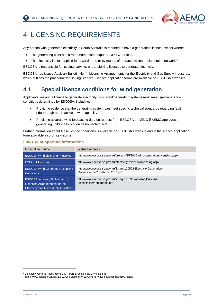

## <span id="page-10-0"></span>4 LICENSING REQUIREMENTS

Any person who generates electricity in South Australia is required to have a generation licence, except where:

- The generating plant has a rated nameplate output of 100 kVA or less.
- The electricity is not supplied for reward, or to or by means of, a transmission or distribution network.<sup>2</sup>

ESCOSA is responsible for issuing, varying, or transferring licences to generate electricity.

ESCOSA has issued Advisory Bulletin No. 4, Licensing Arrangements for the Electricity and Gas Supply Industries, which outlines the procedure for issuing licences. Licence application forms are available on ESCOSA's website.

### <span id="page-10-1"></span>**4.1 Special licence conditions for wind generation**

Applicants seeking a licence to generate electricity using wind generating systems must meet special licence conditions determined by ESCOSA, including:

- Providing evidence that the generating system can meet specific technical standards regarding fault ride-through and reactive power capability.
- Providing accurate wind forecasting data on request from ESCOSA or AEMO if AEMO approves a generating unit's classification as non-scheduled,

Further information about these licence conditions is available on ESCOSA's website and in the licence application form available also on its website.

#### **Links to supporting information**

| <b>Information Source</b>                                                                                   | <b>Website Address</b>                                                                               |
|-------------------------------------------------------------------------------------------------------------|------------------------------------------------------------------------------------------------------|
| <b>ESCOSA Wind Licensing Principles</b>                                                                     | http://www.escosa.sa.gov.au/projects/15/2010-wind-generation-licensing.aspx                          |
| <b>ESCOSA Licensing</b>                                                                                     | http://www.escosa.sa.gov.au/electricity-overview/licensing.aspx                                      |
| <b>ESCOSA Wind Generation Licensing</b><br>Conditions                                                       | http://www.escosa.sa.gov.au/library/100503-ElectricityGeneration-<br>ModelLicenceConditions 2010.pdf |
| ESCOSA: Advisory Bulletin No. 4,<br>Licensing Arrangements for the<br>Electricity and Gas Supply Industries | http://www.escosa.sa.gov.au/library/110711-AdvisoryBulletin4-<br>LicensingArrangements.pdf           |

-

<sup>2</sup> Electricity (General) Regulations 1997, Part 2, Section 6(2). Available at:

[http://www.legislation.sa.gov.au/LZ/C/R/Electricity%20\(General\)%20Regulations%201997.aspx.](http://www.legislation.sa.gov.au/LZ/C/R/Electricity%20(General)%20Regulations%201997.aspx)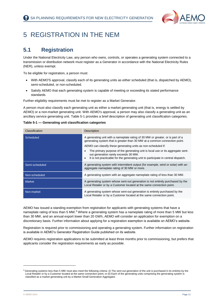

## <span id="page-11-0"></span>5 REGISTRATION IN THE NEM

### <span id="page-11-1"></span>**5.1 Registration**

Under the National Electricity Law, any person who owns, controls, or operates a generating system connected to a transmission or distribution network must register as a Generator in accordance with the National Electricity Rules (NER), unless exempt.

To be eligible for registration, a person must:

- With AEMO'S approval, classify each of its generating units as either scheduled (that is, dispatched by AEMO), semi-scheduled, or non-scheduled.
- Satisfy AEMO that each generating system is capable of meeting or exceeding its stated performance standards.

Further eligibility requirements must be met to register as a Market Generator.

A person must also classify each generating unit as either a market generating unit (that is, energy is settled by AEMO) or a non-market generating unit. With AEMO's approval, a person may also classify a generating unit as an ancillary service generating unit. Table 5-1 provides a brief description of generating unit classification categories.

<span id="page-11-2"></span>**Table 5-1 — Generating unit classification categories** 

| Classification | Description                                                                                                                                                                                                                                                                                                     |
|----------------|-----------------------------------------------------------------------------------------------------------------------------------------------------------------------------------------------------------------------------------------------------------------------------------------------------------------|
| Scheduled      | A generating unit with a nameplate rating of 30 MW or greater, or is part of a<br>generating system that is greater than 30 MW at a common connection point.<br>AEMO can classify these generating units as non-scheduled if:<br>The primary purpose of the generating unit is local use or its aggregate sent- |
|                | out generation rarely exceeds 30 MW.<br>It is not practicable for the generating unit to participate in central dispatch.<br>$\bullet$                                                                                                                                                                          |
| Semi-scheduled | A generating system with intermittent output (for example, wind or solar) with an<br>aggregate nameplate rating of 30 MW or more.                                                                                                                                                                               |
| Non-scheduled  | A generating system with an aggregate nameplate rating of less than 30 MW.                                                                                                                                                                                                                                      |
| <b>Market</b>  | A generating system whose sent-out generation is not entirely purchased by the<br>Local Retailer or by a Customer located at the same connection point.                                                                                                                                                         |
| Non-market     | A generating system whose sent-out generation is entirely purchased by the<br>Local Retailer or by a Customer located at the same connection point.                                                                                                                                                             |

AEMO has issued a standing exemption from registration for applicants with generating systems that have a nameplate rating of less than 5 MW.<sup>3</sup> Where a generating system has a nameplate rating of more than 5 MW but less than 30 MW, and an annual export lower than 20 GWh, AEMO will consider an application for exemption on a discretionary basis. Further information about applying for a registration exemption is available on AEMO's website.

Registration is required prior to commissioning and operating a generating system. Further information on registration is available in AEMO's Generator Registration Guide published on its website.

AEMO requires registration applications to be submitted at least three months prior to commissioning, but prefers that applicants consider the registration requirements as early as possible.

 $\overline{a}$ 

<sup>&</sup>lt;sup>3</sup> Generating systems less than 5 MW must also meet the following criteria: (i) The sent-out generation of the unit is purchased in its entirety by the Local Retailer or by a Customer located at the same connection point; or (ii) Each of the generating units comprising the generating system is classified as a market generating unit by a Market Small Generation Aggregator.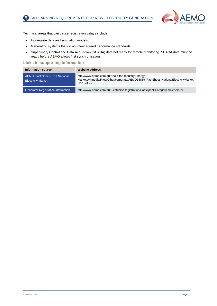

Technical areas that can cause registration delays include:

- Incomplete data and simulation models.
- Generating systems that do not meet agreed performance standards.
- Supervisory Control and Data Acquisition (SCADA) data not ready for remote monitoring. SCADA data must be ready before AEMO allows first synchronisation.

| <b>Information source</b>                                           | <b>Website address</b>                                                                                                                                   |
|---------------------------------------------------------------------|----------------------------------------------------------------------------------------------------------------------------------------------------------|
| <b>AEMO: Fact Sheet - The National</b><br><b>Electricity Market</b> | http://www.aemo.com.au/About-the-Industry/Energy-<br>Markets/~/media/Files/Other/corporate/AEMO16839_FactSheet_NationalElectricityMarket<br>D6.pdf.ashx. |
| Generator Registration Information                                  | http://www.aemo.com.au/Electricity/Registration/Participant-Categories/Generator                                                                         |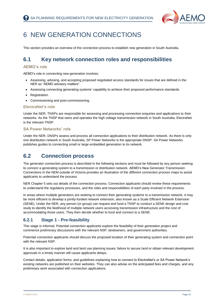

## <span id="page-13-0"></span>6 NEW GENERATION CONNECTIONS

This section provides an overview of the connection process to establish new generation in South Australia.

### <span id="page-13-1"></span>**6.1 Key network connection roles and responsibilities**

#### **AEMO's role**

AEMO's role in connecting new generation involves:

- Assessing, advising, and accepting proposed negotiated access standards for issues that are defined in the NER as "AEMO advisory matters".
- Assessing connecting generating systems' capability to achieve their proposed performance standards.
- Registration.
- Commissioning and post-commissioning.

#### **ElectraNet's role**

Under the NER, TNSPs are responsible for assessing and processing connection enquiries and applications to their networks. As the TNSP that owns and operates the high voltage transmission network in South Australia, ElectraNet is the relevant TNSP.

#### **SA Power Networks' role**

Under the NER, DNSPs assess and process all connection applications to their distribution network. As there is only one distribution network in South Australia, SP Power Networks is the appropriate DNSP. SA Power Networks publishes guides to connecting small or large embedded generation to its network.

### <span id="page-13-2"></span>**6.2 Connection process**

The generator connection process is described in the following sections and must be followed by any person seeking to connect a generating system to a transmission or distribution network. AEMO's New Generator Transmission Connections in the NEM outside of Victoria provides an illustration of the different connection process maps to assist applicants to understand the process.

NER Chapter 5 sets out details of the connection process. Connection applicants should review these requirements to understand the regulatory processes, and the roles and responsibilities of each party involved in the process.

In areas where multiple generators are seeking to connect their generating systems to a transmission network, it may be more efficient to develop a jointly-funded network extension, also known as a Scale Efficient Network Extension (SENE). Under the NER, any person (or group) can request and fund a TNSP to conduct a SENE design and cost study to identify the likelihood of multiple network users accessing transmission infrastructure and the cost of accommodating those users. They then decide whether to fund and connect to a SENE.

#### **6.2.1 Stage 1 - Pre-feasibility**

This stage is informal. Potential connection applicants explore the feasibility of their generation project and commence preliminary discussions with the relevant NSP, landowners, and government authorities.

Potential connection applicants should discuss the proposed location of their generating system and connection point with the relevant NSP.

It is also important to explore land and land use planning issues; failure to secure land or obtain relevant development approvals in a timely manner will cause applicants delays.

Contact details, application forms, and guidelines explaining how to connect to ElectraNet's or SA Power Network's existing networks are published on their websites. They can also advise on the anticipated fees and charges, and any preliminary work associated with connection applications.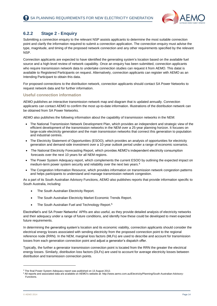

#### **6.2.2 Stage 2 - Enquiry**

Submitting a connection enquiry to the relevant NSP assists applicants to determine the most suitable connection point and clarify the information required to submit a connection application. The connection enquiry must advise the type, magnitude, and timing of the proposed network connection and any other requirements specified by the relevant NSP.

Connection applicants are expected to have identified the generating system's location based on the available fuel source and a high-level review of network capability. Once an enquiry has been submitted, connection applicants who require transmission network data to undertake connection studies can request it from AEMO. This datat is available to Registered Participants on request. Alternatively, connection applicants can register with AEMO as an Intending Participant to obtain this data.

For proposed connections to the distribution network, connection applicants should contact SA Power Networks to request network data and for further information.

#### **Useful connection information**

AEMO publishes an interactive transmission network map and diagram that is updated annually. Connection applicants can contact AEMO to confirm the most up-to-date information. Illustrations of the distribution network can be obtained from SA Power Networks.

AEMO also publishes the following information about the capability of transmission networks in the NEM:

- The National Transmission Network Development Plan, which provides an independent and strategic view of the efficient development of the transmission networks in the NEM over a 25-year planning horizon. It focuses on large-scale electricity generation and the main transmission networks that connect this generation to population and industrial centres.
- The Electricity Statement of Opportunities (ESOO), which provides an analysis of opportunities for electricity generation and demand-side investment over a 10-year outlook period under a range of economic scenarios.
- The National Electricity Forecasting Report, which provides AEMO's independent electricity consumption forecasts over the next 10 years for all NEM regions.
- The Power System Adequacy report, which complements the current ESOO by outlining the expected impact on medium-term power system security and reliability over the next two years. 4
- The Congestion Information Resource, which provides information on transmission network congestion patterns and helps participants to understand and manage transmission network congestion.

As a part of its South Australian Advisory Functions, AEMO also publishes reports that provide information specific to South Australia, including:

- The South Australian Electricity Report.
- The South Australian Electricity Market Economic Trends Report.
- The South Australian Fuel and Technology Report.<sup>5</sup>

ElectraNet's and SA Power Networks' APRs are also useful, as they provide detailed analysis of electricity networks and their adequacy under a range of future conditions, and identify how these could be developed to meet expected future requirements.

In determining the generating system's location and its economic viability, connection applicants should consider the electrical energy losses associated with sending electricity from the proposed connection point to the regional reference node (RRN). In the NEM, marginal loss factors (MLFs) are used to describe and account for transmission losses from each generation connection point and adjust a generator's dispatch offer.

Typically, the further a generator transmission connection point is located from the RRN the greater the electrical energy losses. Similarly, distribution loss factors (DLFs) are used to account for average electricity losses between distribution and transmission connection points.

-

<sup>&</sup>lt;sup>4</sup> The final Power System Adequacy report was published on 13 August 2012.

<sup>5</sup> All reports and associated data are available on AEMO's website at: http://www.aemo.com.au/Electricity/Planning/South-Australian-Advisory-Functions.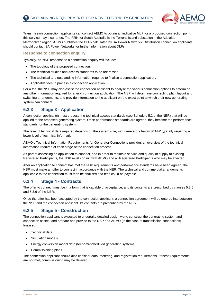

Transmission connection applicants can contact AEMO to obtain an indicative MLF for a proposed connection point; this service may incur a fee. The RRN for South Australia is the Torrens Island substation in the Adelaide Metropolitan region. AEMO publishes the DLFs calculated by SA Power Networks. Distribution connection applicants should contact SA Power Networks for further information about DLFs.

#### **Response to connection enquiry**

Typically, an NSP response to a connection enquiry will include:

- The topology of the proposed connection.
- The technical studies and access standards to be addressed.
- The technical and outstanding information required to finalise a connection application.
- Applicable fees to process a connection application.

For a fee, the NSP may also assist the connection applicant to analyse the various connection options to determine any other information required for a valid connection application. The NSP will determine connecting plant layout and switching arrangements, and provide information to the applicant on the exact point to which their new generating system can connect.

#### **6.2.3 Stage 3 - Application**

A connection application must propose the technical access standards (see Schedule 5.2 of the NER) that will be applied to the proposed generating system. Once performance standards are agreed, they become the performance standards for the generating system.

The level of technical data required depends on the system size, with generators below 30 MW typically requiring a lower level of technical information.

AEMO's Technical Information Requirements for Generator Connections provides an overview of the technical information required at each stage of the connection process.

As part of assessing an application to connect, and in order to maintain service and quality of supply to existing Registered Participants, the NSP must consult with AEMO and all Registered Participants who may be affected.

After an application to connect has met the NSP requirements and performance standards have been agreed, the NSP must make an offer to connect in accordance with the NER. The technical and commercial arrangements applicable to the connection must then be finalised and fees could be payable.

#### **6.2.4 Stage 4 - Contracts**

The offer to connect must be in a form that is capable of acceptance, and its contents are prescribed by clauses 5.3.5 and 5.3.6 of the NER.

Once the offer has been accepted by the connection applicant, a connection agreement will be entered into between the NSP and the connection applicant. Its contents are prescribed by the NER.

#### **6.2.5 Stage 5 - Construction**

The connection applicant is expected to undertake detailed design work, construct the generating system and connection assets, and prepare and provide to the NSP and AEMO (in the case of transmission connections) finalised:

- Technical data.
- Simulation models.
- Energy conversion model data (for semi-scheduled generating systems).
- Commissioning plans.

The connection applicant should also consider data, metering, and registration requirements. If these requirements are not met, commissioning may be delayed.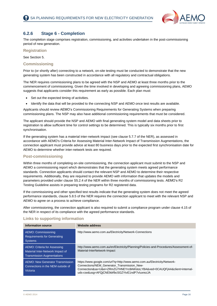

#### **6.2.6 Stage 6 - Completion**

The completion stage comprises registration, commissioning, and activities undertaken in the post-commissioning period of new generation.

**Registration**

See Section 5.

#### **Commissioning**

Prior to (or shortly after) connecting to a network, on-site testing must be conducted to demonstrate that the new generating system has been constructed in accordance with all regulatory and contractual obligations.

The NER requires commissioning plans to be agreed with the NSP and AEMO at least three months prior to the commencement of commissioning. Given the time involved in developing and agreeing commissioning plans, AEMO suggests that applicants consider this requirement as early as possible. Each plan must:

- Set out the expected timing of activities.
- Identify the data that will be provided to the connecting NSP and AEMO once test results are available.

Applicants should review AEMO's Commissioning Requirements for Generating Systems when preparing commissioning plans. The NSP may also have additional commissioning requirements that must be considered.

The applicant should provide the NSP and AEMO with final generating system model and data sheets prior to registration to allow sufficient time for control settings to be determined. This is typically six months prior to first synchronisation.

If the generating system has a material inter-network impact (see clause 5.7.7 of the NER), as assessed in accordance with AEMO's Criteria for Assessing Material Inter-Network Impact of Transmission Augmentations, the connection applicant must provide advice at least 80 business days prior to the expected first synchronisation date for AEMO to determine whether [inter-network tests](http://www.aemo.com.au/planning/170-0053.html) are required.

#### **Post-commissioning**

Within three months of completing on-site commissioning, the connection applicant must submit to the NSP and AEMO a commissioning report which demonstrates that the generating system meets agreed performance standards. Connection applicants should contact the relevant NSP and AEMO to determine their respective requirements. Additionally, they are required to provide AEMO with information that updates the models and parameters provided under clause S5.2.4 of the NER within three months of commissioning tests. AEMO's R2 Testing Guideline assists in preparing testing programs for R2 registered data.

If the commissioning and other specified test results indicate that the generating system does not meet the agreed performance standards, clause 5.8.5 of the NER requires the connection applicant to meet with the relevant NSP and AEMO to agree on a process to achieve compliance.

After commissioning, the connection applicant is also required to submit a compliance program under clause 4.15 of the NER in respect of its compliance with the agreed performance standards.

| <b>Information source</b>                                                                             | <b>Website address</b>                                                                                                                                                                                                                                |
|-------------------------------------------------------------------------------------------------------|-------------------------------------------------------------------------------------------------------------------------------------------------------------------------------------------------------------------------------------------------------|
| AEMO: Commissioning<br><b>Requirements for Generating</b><br><b>Systems</b>                           | http://www.aemo.com.au/Electricity/Network-Connections                                                                                                                                                                                                |
| AEMO: Criteria for Assessing<br>Material Inter-Network Impact of<br><b>Transmission Augmentations</b> | http://www.aemo.com.au/en/Electricity/Planning/Policies-and-Procedures/Assessment-of-<br>Material-InterNetwork-Impact                                                                                                                                 |
| <b>AEMO: New Generator Transmission</b><br>Connections in the NEM outside of<br>Victoria              | https://www.google.com/url?q=http://www.aemo.com.au/Electricity/Network-<br>Connections/NEM Generator Transmission New-<br>Connection&sa=U&ei=ZRmZU7HNEYrc8AWstoLYBA&ved=0CAUQFjAA&client=internal-<br>uds-cse&usg=AFQjCNE9drfbcSGZYtvE1ndP7vluxrezJA |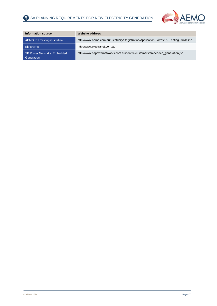

| Information source                               | <b>Website address</b>                                                                 |
|--------------------------------------------------|----------------------------------------------------------------------------------------|
| AEMO: R2 Testing Guideline                       | http://www.aemo.com.au/Electricity/Registration/Application-Forms/R2-Testing-Guideline |
| ElectraNet                                       | http://www.electranet.com.au                                                           |
| <b>SP Power Networks: Embedded</b><br>Generation | http://www.sapowernetworks.com.au/centric/customers/embedded_generation.jsp            |